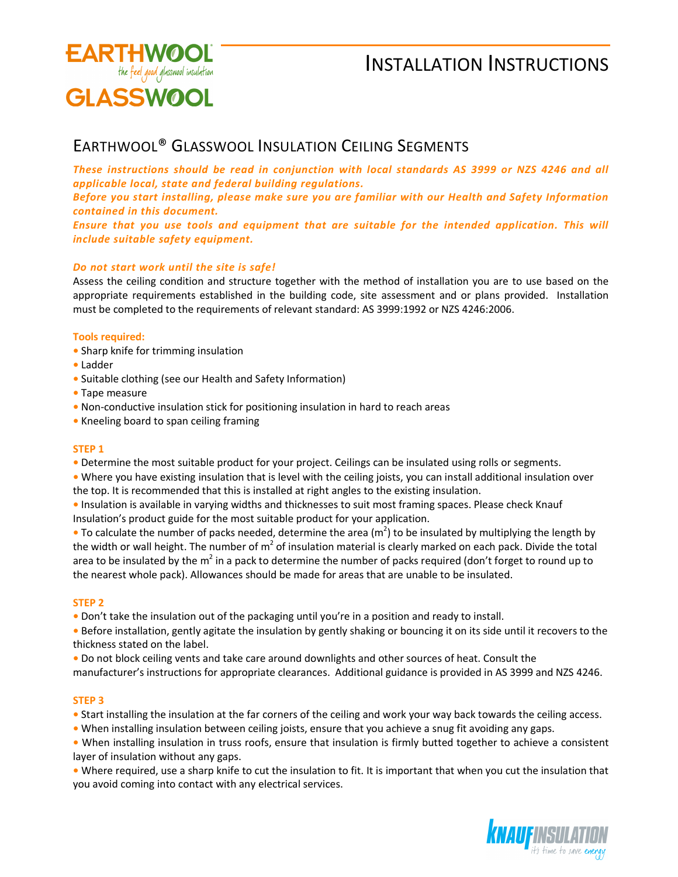

# INSTALLATION INSTRUCTIONS

### EARTHWOOL® GLASSWOOL INSULATION CEILING SEGMENTS

*These instructions should be read in conjunction with local standards AS 3999 or NZS 4246 and all applicable local, state and federal building regulations.* 

*Before you start installing, please make sure you are familiar with our Health and Safety Information contained in this document.* 

*Ensure that you use tools and equipment that are suitable for the intended application. This will include suitable safety equipment.* 

### *Do not start work until the site is safe!*

Assess the ceiling condition and structure together with the method of installation you are to use based on the appropriate requirements established in the building code, site assessment and or plans provided. Installation must be completed to the requirements of relevant standard: AS 3999:1992 or NZS 4246:2006.

### **Tools required:**

- Sharp knife for trimming insulation
- Ladder
- Suitable clothing (see our Health and Safety Information)
- Tape measure
- Non-conductive insulation stick for positioning insulation in hard to reach areas
- Kneeling board to span ceiling framing

### **STEP 1**

**•** Determine the most suitable product for your project. Ceilings can be insulated using rolls or segments.

**•** Where you have existing insulation that is level with the ceiling joists, you can install additional insulation over the top. It is recommended that this is installed at right angles to the existing insulation.

**•** Insulation is available in varying widths and thicknesses to suit most framing spaces. Please check Knauf Insulation's product guide for the most suitable product for your application.

• To calculate the number of packs needed, determine the area (m<sup>2</sup>) to be insulated by multiplying the length by the width or wall height. The number of m<sup>2</sup> of insulation material is clearly marked on each pack. Divide the total area to be insulated by the m<sup>2</sup> in a pack to determine the number of packs required (don't forget to round up to the nearest whole pack). Allowances should be made for areas that are unable to be insulated.

### **STEP 2**

**•** Don't take the insulation out of the packaging until you're in a position and ready to install.

**•** Before installation, gently agitate the insulation by gently shaking or bouncing it on its side until it recovers to the thickness stated on the label.

**•** Do not block ceiling vents and take care around downlights and other sources of heat. Consult the manufacturer's instructions for appropriate clearances. Additional guidance is provided in AS 3999 and NZS 4246.

### **STEP 3**

**•** Start installing the insulation at the far corners of the ceiling and work your way back towards the ceiling access.

**•** When installing insulation between ceiling joists, ensure that you achieve a snug fit avoiding any gaps.

**•** When installing insulation in truss roofs, ensure that insulation is firmly butted together to achieve a consistent layer of insulation without any gaps.

**•** Where required, use a sharp knife to cut the insulation to fit. It is important that when you cut the insulation that you avoid coming into contact with any electrical services.

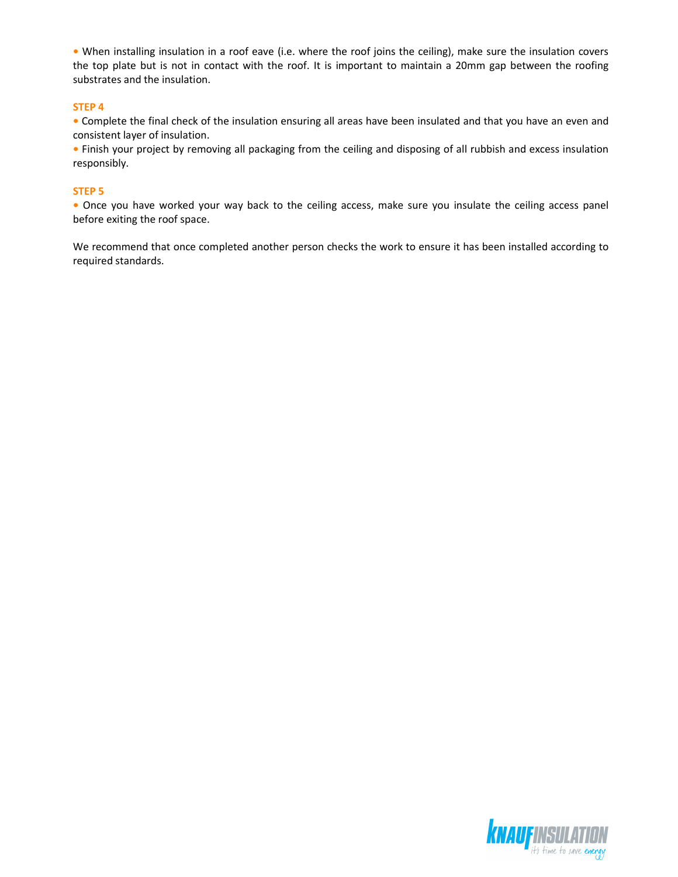**•** When installing insulation in a roof eave (i.e. where the roof joins the ceiling), make sure the insulation covers the top plate but is not in contact with the roof. It is important to maintain a 20mm gap between the roofing substrates and the insulation.

### **STEP 4**

**•** Complete the final check of the insulation ensuring all areas have been insulated and that you have an even and consistent layer of insulation.

**•** Finish your project by removing all packaging from the ceiling and disposing of all rubbish and excess insulation responsibly.

#### **STEP 5**

**•** Once you have worked your way back to the ceiling access, make sure you insulate the ceiling access panel before exiting the roof space.

We recommend that once completed another person checks the work to ensure it has been installed according to required standards.

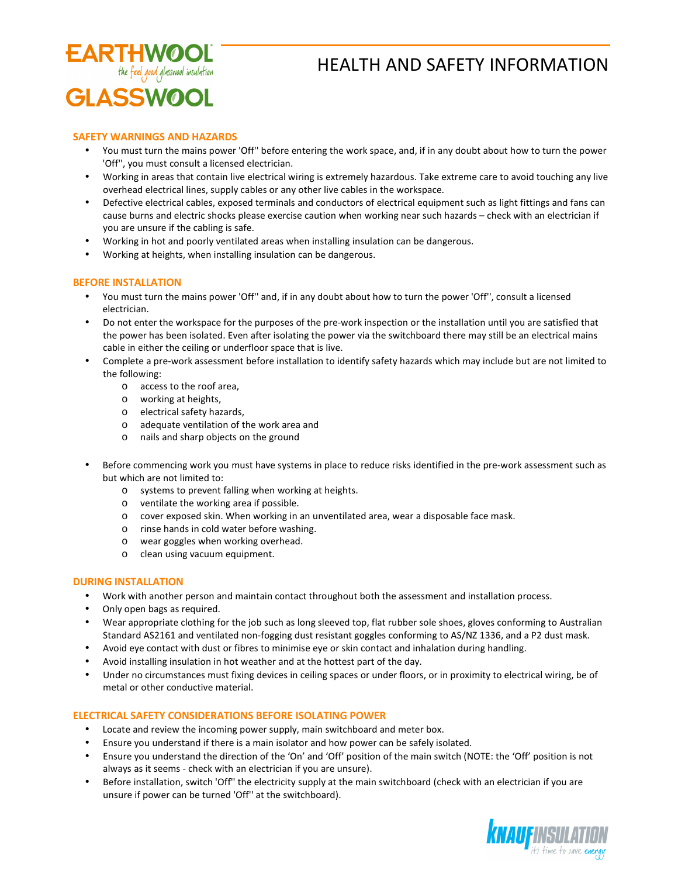

## HEALTH AND SAFETY INFORMATION

### **SAFETY WARNINGS AND HAZARDS**

- You must turn the mains power 'Off'' before entering the work space, and, if in any doubt about how to turn the power 'Off'', you must consult a licensed electrician.
- Working in areas that contain live electrical wiring is extremely hazardous. Take extreme care to avoid touching any live overhead electrical lines, supply cables or any other live cables in the workspace.
- Defective electrical cables, exposed terminals and conductors of electrical equipment such as light fittings and fans can cause burns and electric shocks please exercise caution when working near such hazards – check with an electrician if you are unsure if the cabling is safe.
- Working in hot and poorly ventilated areas when installing insulation can be dangerous.
- Working at heights, when installing insulation can be dangerous.

### **BEFORE INSTALLATION**

- You must turn the mains power 'Off'' and, if in any doubt about how to turn the power 'Off'', consult a licensed electrician.
- Do not enter the workspace for the purposes of the pre-work inspection or the installation until you are satisfied that the power has been isolated. Even after isolating the power via the switchboard there may still be an electrical mains cable in either the ceiling or underfloor space that is live.
- Complete a pre-work assessment before installation to identify safety hazards which may include but are not limited to the following:
	- o access to the roof area,
	- o working at heights,
	- o electrical safety hazards,
	- o adequate ventilation of the work area and
	- o nails and sharp objects on the ground
- Before commencing work you must have systems in place to reduce risks identified in the pre-work assessment such as but which are not limited to:
	- o systems to prevent falling when working at heights.
	- o ventilate the working area if possible.
	- o cover exposed skin. When working in an unventilated area, wear a disposable face mask.
	- o rinse hands in cold water before washing.
	- o wear goggles when working overhead.
	- o clean using vacuum equipment.

### **DURING INSTALLATION**

- Work with another person and maintain contact throughout both the assessment and installation process.
- Only open bags as required.
- Wear appropriate clothing for the job such as long sleeved top, flat rubber sole shoes, gloves conforming to Australian Standard AS2161 and ventilated non-fogging dust resistant goggles conforming to AS/NZ 1336, and a P2 dust mask.
- Avoid eye contact with dust or fibres to minimise eye or skin contact and inhalation during handling.
- Avoid installing insulation in hot weather and at the hottest part of the day.
- Under no circumstances must fixing devices in ceiling spaces or under floors, or in proximity to electrical wiring, be of metal or other conductive material.

### **ELECTRICAL SAFETY CONSIDERATIONS BEFORE ISOLATING POWER**

- Locate and review the incoming power supply, main switchboard and meter box.
- Ensure you understand if there is a main isolator and how power can be safely isolated.
- Ensure you understand the direction of the 'On' and 'Off' position of the main switch (NOTE: the 'Off' position is not always as it seems - check with an electrician if you are unsure).
- Before installation, switch 'Off'' the electricity supply at the main switchboard (check with an electrician if you are unsure if power can be turned 'Off'' at the switchboard).